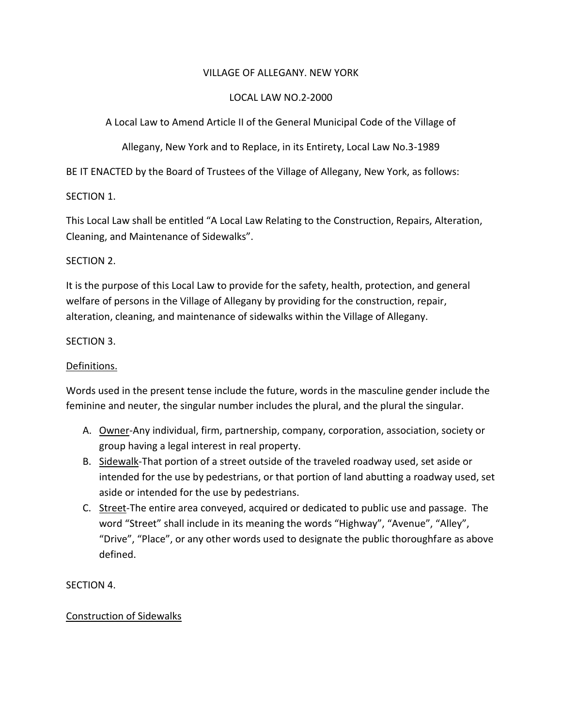## VILLAGE OF ALLEGANY. NEW YORK

## LOCAL LAW NO.2-2000

A Local Law to Amend Article II of the General Municipal Code of the Village of

Allegany, New York and to Replace, in its Entirety, Local Law No.3-1989

BE IT ENACTED by the Board of Trustees of the Village of Allegany, New York, as follows:

## SECTION 1.

This Local Law shall be entitled "A Local Law Relating to the Construction, Repairs, Alteration, Cleaning, and Maintenance of Sidewalks".

## SECTION 2.

It is the purpose of this Local Law to provide for the safety, health, protection, and general welfare of persons in the Village of Allegany by providing for the construction, repair, alteration, cleaning, and maintenance of sidewalks within the Village of Allegany.

## SECTION 3.

## Definitions.

Words used in the present tense include the future, words in the masculine gender include the feminine and neuter, the singular number includes the plural, and the plural the singular.

- A. Owner-Any individual, firm, partnership, company, corporation, association, society or group having a legal interest in real property.
- B. Sidewalk-That portion of a street outside of the traveled roadway used, set aside or intended for the use by pedestrians, or that portion of land abutting a roadway used, set aside or intended for the use by pedestrians.
- C. Street-The entire area conveyed, acquired or dedicated to public use and passage. The word "Street" shall include in its meaning the words "Highway", "Avenue", "Alley", "Drive", "Place", or any other words used to designate the public thoroughfare as above defined.

# SECTION 4.

# Construction of Sidewalks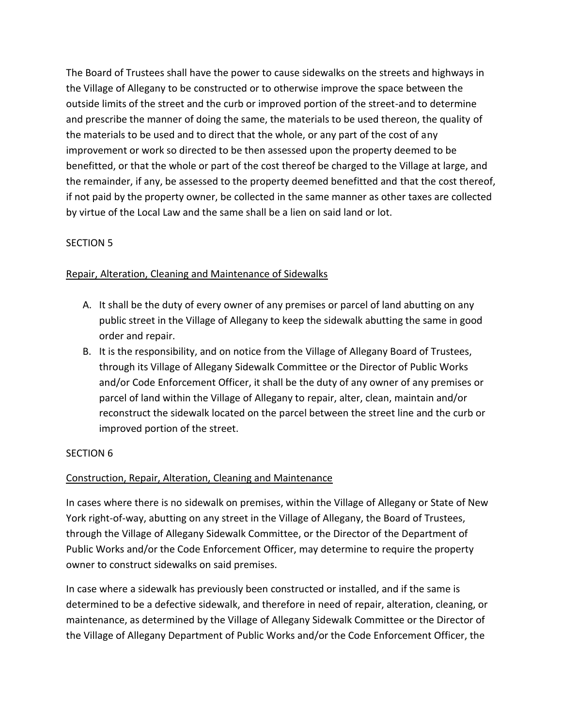The Board of Trustees shall have the power to cause sidewalks on the streets and highways in the Village of Allegany to be constructed or to otherwise improve the space between the outside limits of the street and the curb or improved portion of the street-and to determine and prescribe the manner of doing the same, the materials to be used thereon, the quality of the materials to be used and to direct that the whole, or any part of the cost of any improvement or work so directed to be then assessed upon the property deemed to be benefitted, or that the whole or part of the cost thereof be charged to the Village at large, and the remainder, if any, be assessed to the property deemed benefitted and that the cost thereof, if not paid by the property owner, be collected in the same manner as other taxes are collected by virtue of the Local Law and the same shall be a lien on said land or lot.

# SECTION 5

# Repair, Alteration, Cleaning and Maintenance of Sidewalks

- A. It shall be the duty of every owner of any premises or parcel of land abutting on any public street in the Village of Allegany to keep the sidewalk abutting the same in good order and repair.
- B. It is the responsibility, and on notice from the Village of Allegany Board of Trustees, through its Village of Allegany Sidewalk Committee or the Director of Public Works and/or Code Enforcement Officer, it shall be the duty of any owner of any premises or parcel of land within the Village of Allegany to repair, alter, clean, maintain and/or reconstruct the sidewalk located on the parcel between the street line and the curb or improved portion of the street.

# SECTION 6

# Construction, Repair, Alteration, Cleaning and Maintenance

In cases where there is no sidewalk on premises, within the Village of Allegany or State of New York right-of-way, abutting on any street in the Village of Allegany, the Board of Trustees, through the Village of Allegany Sidewalk Committee, or the Director of the Department of Public Works and/or the Code Enforcement Officer, may determine to require the property owner to construct sidewalks on said premises.

In case where a sidewalk has previously been constructed or installed, and if the same is determined to be a defective sidewalk, and therefore in need of repair, alteration, cleaning, or maintenance, as determined by the Village of Allegany Sidewalk Committee or the Director of the Village of Allegany Department of Public Works and/or the Code Enforcement Officer, the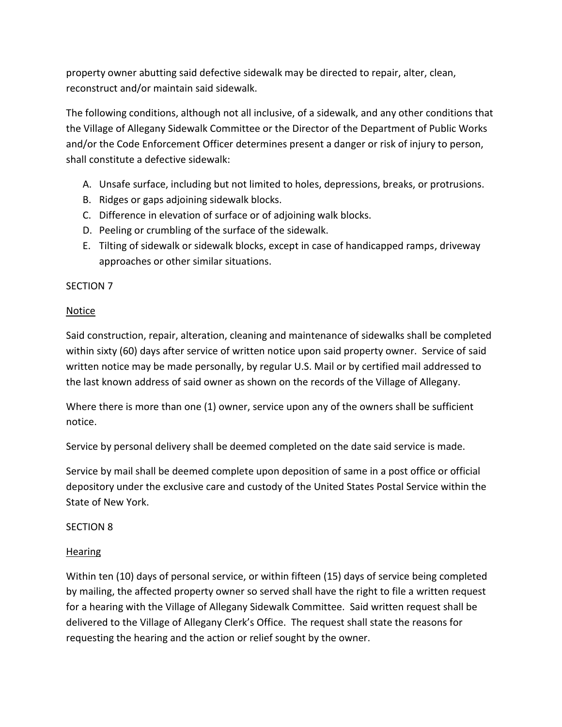property owner abutting said defective sidewalk may be directed to repair, alter, clean, reconstruct and/or maintain said sidewalk.

The following conditions, although not all inclusive, of a sidewalk, and any other conditions that the Village of Allegany Sidewalk Committee or the Director of the Department of Public Works and/or the Code Enforcement Officer determines present a danger or risk of injury to person, shall constitute a defective sidewalk:

- A. Unsafe surface, including but not limited to holes, depressions, breaks, or protrusions.
- B. Ridges or gaps adjoining sidewalk blocks.
- C. Difference in elevation of surface or of adjoining walk blocks.
- D. Peeling or crumbling of the surface of the sidewalk.
- E. Tilting of sidewalk or sidewalk blocks, except in case of handicapped ramps, driveway approaches or other similar situations.

## SECTION 7

#### Notice

Said construction, repair, alteration, cleaning and maintenance of sidewalks shall be completed within sixty (60) days after service of written notice upon said property owner. Service of said written notice may be made personally, by regular U.S. Mail or by certified mail addressed to the last known address of said owner as shown on the records of the Village of Allegany.

Where there is more than one (1) owner, service upon any of the owners shall be sufficient notice.

Service by personal delivery shall be deemed completed on the date said service is made.

Service by mail shall be deemed complete upon deposition of same in a post office or official depository under the exclusive care and custody of the United States Postal Service within the State of New York.

#### SECTION 8

#### Hearing

Within ten (10) days of personal service, or within fifteen (15) days of service being completed by mailing, the affected property owner so served shall have the right to file a written request for a hearing with the Village of Allegany Sidewalk Committee. Said written request shall be delivered to the Village of Allegany Clerk's Office. The request shall state the reasons for requesting the hearing and the action or relief sought by the owner.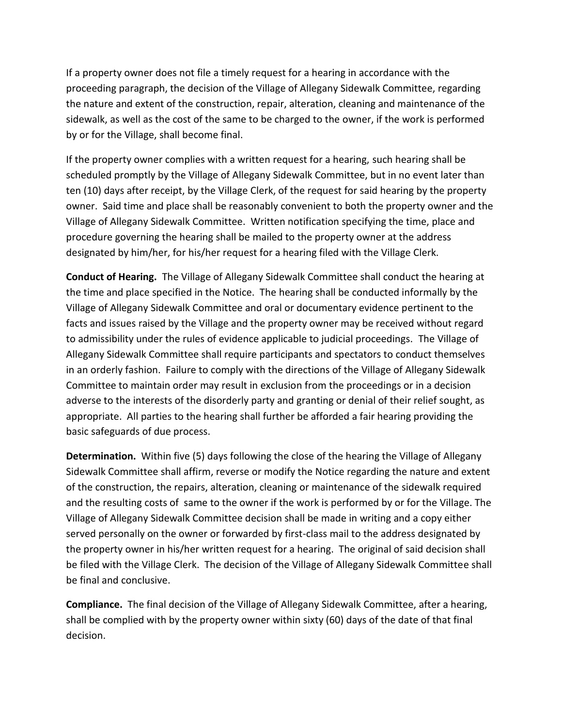If a property owner does not file a timely request for a hearing in accordance with the proceeding paragraph, the decision of the Village of Allegany Sidewalk Committee, regarding the nature and extent of the construction, repair, alteration, cleaning and maintenance of the sidewalk, as well as the cost of the same to be charged to the owner, if the work is performed by or for the Village, shall become final.

If the property owner complies with a written request for a hearing, such hearing shall be scheduled promptly by the Village of Allegany Sidewalk Committee, but in no event later than ten (10) days after receipt, by the Village Clerk, of the request for said hearing by the property owner. Said time and place shall be reasonably convenient to both the property owner and the Village of Allegany Sidewalk Committee. Written notification specifying the time, place and procedure governing the hearing shall be mailed to the property owner at the address designated by him/her, for his/her request for a hearing filed with the Village Clerk.

**Conduct of Hearing.** The Village of Allegany Sidewalk Committee shall conduct the hearing at the time and place specified in the Notice. The hearing shall be conducted informally by the Village of Allegany Sidewalk Committee and oral or documentary evidence pertinent to the facts and issues raised by the Village and the property owner may be received without regard to admissibility under the rules of evidence applicable to judicial proceedings. The Village of Allegany Sidewalk Committee shall require participants and spectators to conduct themselves in an orderly fashion. Failure to comply with the directions of the Village of Allegany Sidewalk Committee to maintain order may result in exclusion from the proceedings or in a decision adverse to the interests of the disorderly party and granting or denial of their relief sought, as appropriate. All parties to the hearing shall further be afforded a fair hearing providing the basic safeguards of due process.

**Determination.** Within five (5) days following the close of the hearing the Village of Allegany Sidewalk Committee shall affirm, reverse or modify the Notice regarding the nature and extent of the construction, the repairs, alteration, cleaning or maintenance of the sidewalk required and the resulting costs of same to the owner if the work is performed by or for the Village. The Village of Allegany Sidewalk Committee decision shall be made in writing and a copy either served personally on the owner or forwarded by first-class mail to the address designated by the property owner in his/her written request for a hearing. The original of said decision shall be filed with the Village Clerk. The decision of the Village of Allegany Sidewalk Committee shall be final and conclusive.

**Compliance.** The final decision of the Village of Allegany Sidewalk Committee, after a hearing, shall be complied with by the property owner within sixty (60) days of the date of that final decision.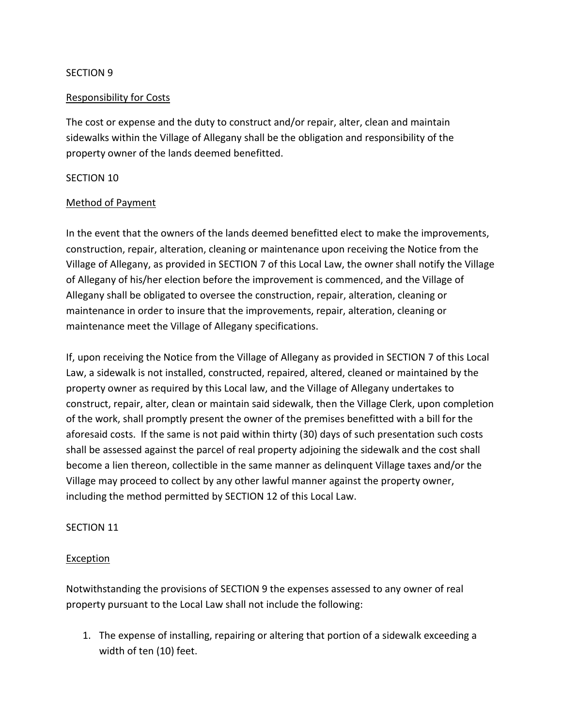#### SECTION 9

## Responsibility for Costs

The cost or expense and the duty to construct and/or repair, alter, clean and maintain sidewalks within the Village of Allegany shall be the obligation and responsibility of the property owner of the lands deemed benefitted.

#### SECTION 10

#### Method of Payment

In the event that the owners of the lands deemed benefitted elect to make the improvements, construction, repair, alteration, cleaning or maintenance upon receiving the Notice from the Village of Allegany, as provided in SECTION 7 of this Local Law, the owner shall notify the Village of Allegany of his/her election before the improvement is commenced, and the Village of Allegany shall be obligated to oversee the construction, repair, alteration, cleaning or maintenance in order to insure that the improvements, repair, alteration, cleaning or maintenance meet the Village of Allegany specifications.

If, upon receiving the Notice from the Village of Allegany as provided in SECTION 7 of this Local Law, a sidewalk is not installed, constructed, repaired, altered, cleaned or maintained by the property owner as required by this Local law, and the Village of Allegany undertakes to construct, repair, alter, clean or maintain said sidewalk, then the Village Clerk, upon completion of the work, shall promptly present the owner of the premises benefitted with a bill for the aforesaid costs. If the same is not paid within thirty (30) days of such presentation such costs shall be assessed against the parcel of real property adjoining the sidewalk and the cost shall become a lien thereon, collectible in the same manner as delinquent Village taxes and/or the Village may proceed to collect by any other lawful manner against the property owner, including the method permitted by SECTION 12 of this Local Law.

#### SECTION 11

#### **Exception**

Notwithstanding the provisions of SECTION 9 the expenses assessed to any owner of real property pursuant to the Local Law shall not include the following:

1. The expense of installing, repairing or altering that portion of a sidewalk exceeding a width of ten (10) feet.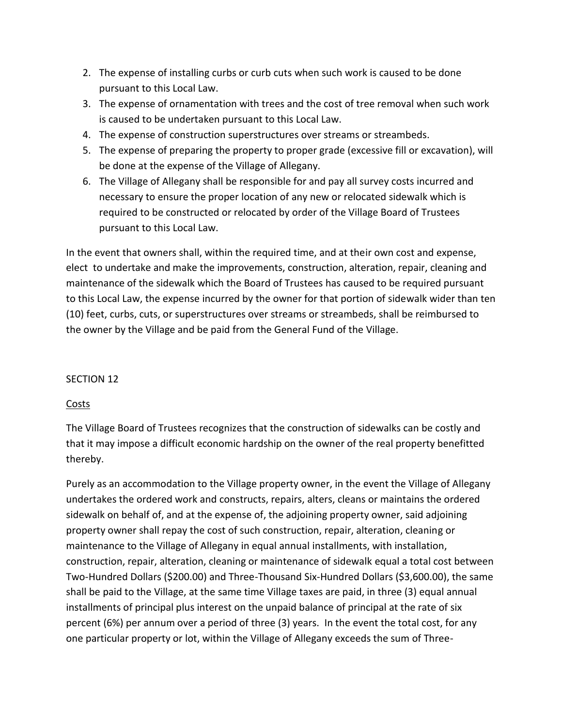- 2. The expense of installing curbs or curb cuts when such work is caused to be done pursuant to this Local Law.
- 3. The expense of ornamentation with trees and the cost of tree removal when such work is caused to be undertaken pursuant to this Local Law.
- 4. The expense of construction superstructures over streams or streambeds.
- 5. The expense of preparing the property to proper grade (excessive fill or excavation), will be done at the expense of the Village of Allegany.
- 6. The Village of Allegany shall be responsible for and pay all survey costs incurred and necessary to ensure the proper location of any new or relocated sidewalk which is required to be constructed or relocated by order of the Village Board of Trustees pursuant to this Local Law.

In the event that owners shall, within the required time, and at their own cost and expense, elect to undertake and make the improvements, construction, alteration, repair, cleaning and maintenance of the sidewalk which the Board of Trustees has caused to be required pursuant to this Local Law, the expense incurred by the owner for that portion of sidewalk wider than ten (10) feet, curbs, cuts, or superstructures over streams or streambeds, shall be reimbursed to the owner by the Village and be paid from the General Fund of the Village.

# SECTION 12

# Costs

The Village Board of Trustees recognizes that the construction of sidewalks can be costly and that it may impose a difficult economic hardship on the owner of the real property benefitted thereby.

Purely as an accommodation to the Village property owner, in the event the Village of Allegany undertakes the ordered work and constructs, repairs, alters, cleans or maintains the ordered sidewalk on behalf of, and at the expense of, the adjoining property owner, said adjoining property owner shall repay the cost of such construction, repair, alteration, cleaning or maintenance to the Village of Allegany in equal annual installments, with installation, construction, repair, alteration, cleaning or maintenance of sidewalk equal a total cost between Two-Hundred Dollars (\$200.00) and Three-Thousand Six-Hundred Dollars (\$3,600.00), the same shall be paid to the Village, at the same time Village taxes are paid, in three (3) equal annual installments of principal plus interest on the unpaid balance of principal at the rate of six percent (6%) per annum over a period of three (3) years. In the event the total cost, for any one particular property or lot, within the Village of Allegany exceeds the sum of Three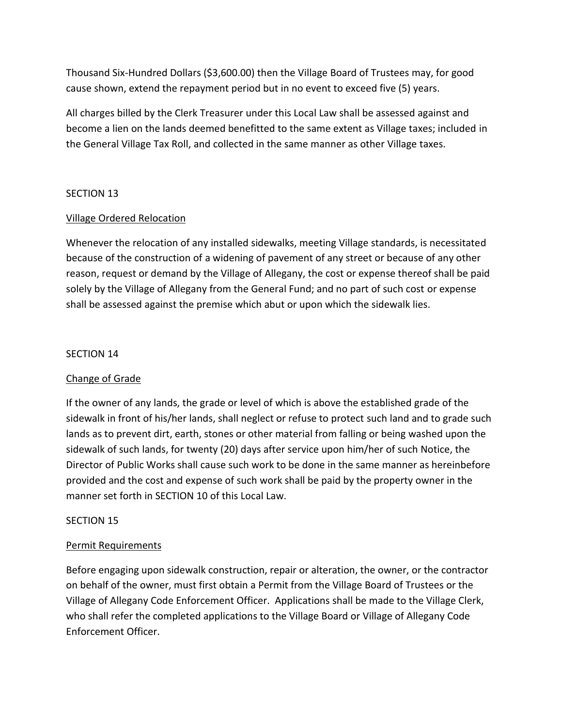Thousand Six-Hundred Dollars (\$3,600.00) then the Village Board of Trustees may, for good cause shown, extend the repayment period but in no event to exceed five (5) years.

All charges billed by the Clerk Treasurer under this Local Law shall be assessed against and become a lien on the lands deemed benefitted to the same extent as Village taxes; included in the General Village Tax Roll, and collected in the same manner as other Village taxes.

## SECTION 13

## Village Ordered Relocation

Whenever the relocation of any installed sidewalks, meeting Village standards, is necessitated because of the construction of a widening of pavement of any street or because of any other reason, request or demand by the Village of Allegany, the cost or expense thereof shall be paid solely by the Village of Allegany from the General Fund; and no part of such cost or expense shall be assessed against the premise which abut or upon which the sidewalk lies.

#### SECTION 14

#### Change of Grade

If the owner of any lands, the grade or level of which is above the established grade of the sidewalk in front of his/her lands, shall neglect or refuse to protect such land and to grade such lands as to prevent dirt, earth, stones or other material from falling or being washed upon the sidewalk of such lands, for twenty (20) days after service upon him/her of such Notice, the Director of Public Works shall cause such work to be done in the same manner as hereinbefore provided and the cost and expense of such work shall be paid by the property owner in the manner set forth in SECTION 10 of this Local Law.

#### SECTION 15

#### Permit Requirements

Before engaging upon sidewalk construction, repair or alteration, the owner, or the contractor on behalf of the owner, must first obtain a Permit from the Village Board of Trustees or the Village of Allegany Code Enforcement Officer. Applications shall be made to the Village Clerk, who shall refer the completed applications to the Village Board or Village of Allegany Code Enforcement Officer.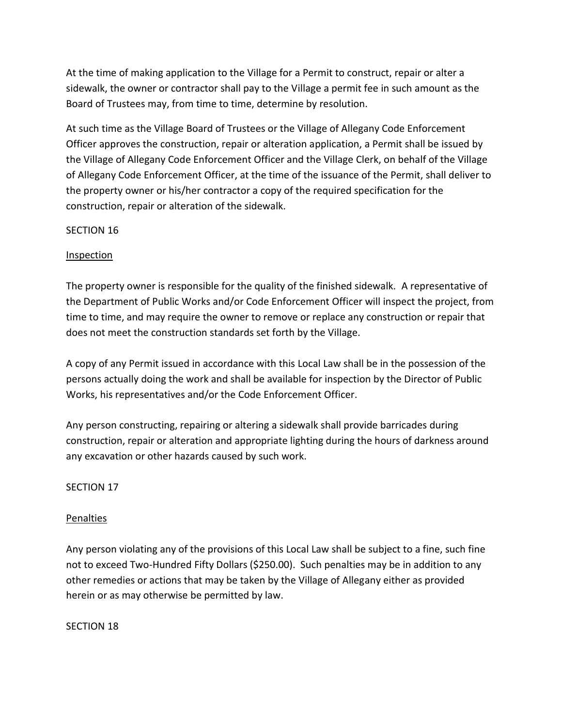At the time of making application to the Village for a Permit to construct, repair or alter a sidewalk, the owner or contractor shall pay to the Village a permit fee in such amount as the Board of Trustees may, from time to time, determine by resolution.

At such time as the Village Board of Trustees or the Village of Allegany Code Enforcement Officer approves the construction, repair or alteration application, a Permit shall be issued by the Village of Allegany Code Enforcement Officer and the Village Clerk, on behalf of the Village of Allegany Code Enforcement Officer, at the time of the issuance of the Permit, shall deliver to the property owner or his/her contractor a copy of the required specification for the construction, repair or alteration of the sidewalk.

## SECTION 16

## **Inspection**

The property owner is responsible for the quality of the finished sidewalk. A representative of the Department of Public Works and/or Code Enforcement Officer will inspect the project, from time to time, and may require the owner to remove or replace any construction or repair that does not meet the construction standards set forth by the Village.

A copy of any Permit issued in accordance with this Local Law shall be in the possession of the persons actually doing the work and shall be available for inspection by the Director of Public Works, his representatives and/or the Code Enforcement Officer.

Any person constructing, repairing or altering a sidewalk shall provide barricades during construction, repair or alteration and appropriate lighting during the hours of darkness around any excavation or other hazards caused by such work.

#### SECTION 17

#### Penalties

Any person violating any of the provisions of this Local Law shall be subject to a fine, such fine not to exceed Two-Hundred Fifty Dollars (\$250.00). Such penalties may be in addition to any other remedies or actions that may be taken by the Village of Allegany either as provided herein or as may otherwise be permitted by law.

#### SECTION 18